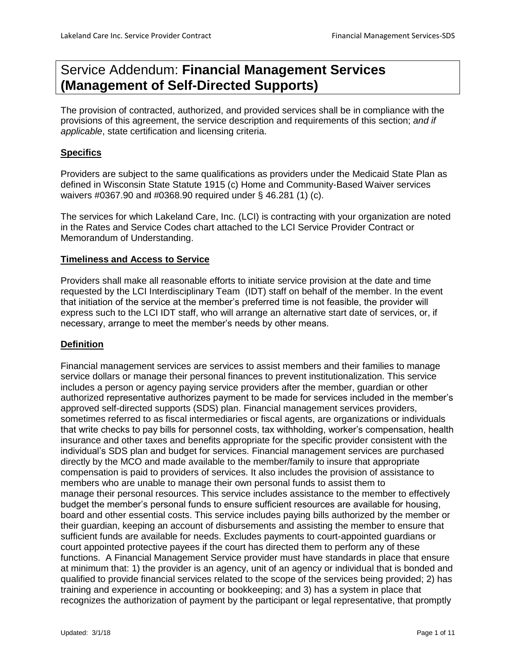# Service Addendum: **Financial Management Services (Management of Self-Directed Supports)**

The provision of contracted, authorized, and provided services shall be in compliance with the provisions of this agreement, the service description and requirements of this section; *and if applicable*, state certification and licensing criteria.

# **Specifics**

Providers are subject to the same qualifications as providers under the Medicaid State Plan as defined in Wisconsin State Statute 1915 (c) Home and Community-Based Waiver services waivers #0367.90 and #0368.90 required under § 46.281 (1) (c).

The services for which Lakeland Care, Inc. (LCI) is contracting with your organization are noted in the Rates and Service Codes chart attached to the LCI Service Provider Contract or Memorandum of Understanding.

# **Timeliness and Access to Service**

Providers shall make all reasonable efforts to initiate service provision at the date and time requested by the LCI Interdisciplinary Team (IDT) staff on behalf of the member. In the event that initiation of the service at the member's preferred time is not feasible, the provider will express such to the LCI IDT staff, who will arrange an alternative start date of services, or, if necessary, arrange to meet the member's needs by other means.

# **Definition**

Financial management services are services to assist members and their families to manage service dollars or manage their personal finances to prevent institutionalization. This service includes a person or agency paying service providers after the member, guardian or other authorized representative authorizes payment to be made for services included in the member's approved self-directed supports (SDS) plan. Financial management services providers, sometimes referred to as fiscal intermediaries or fiscal agents, are organizations or individuals that write checks to pay bills for personnel costs, tax withholding, worker's compensation, health insurance and other taxes and benefits appropriate for the specific provider consistent with the individual's SDS plan and budget for services. Financial management services are purchased directly by the MCO and made available to the member/family to insure that appropriate compensation is paid to providers of services. It also includes the provision of assistance to members who are unable to manage their own personal funds to assist them to manage their personal resources. This service includes assistance to the member to effectively budget the member's personal funds to ensure sufficient resources are available for housing, board and other essential costs. This service includes paying bills authorized by the member or their guardian, keeping an account of disbursements and assisting the member to ensure that sufficient funds are available for needs. Excludes payments to court-appointed guardians or court appointed protective payees if the court has directed them to perform any of these functions. A Financial Management Service provider must have standards in place that ensure at minimum that: 1) the provider is an agency, unit of an agency or individual that is bonded and qualified to provide financial services related to the scope of the services being provided; 2) has training and experience in accounting or bookkeeping; and 3) has a system in place that recognizes the authorization of payment by the participant or legal representative, that promptly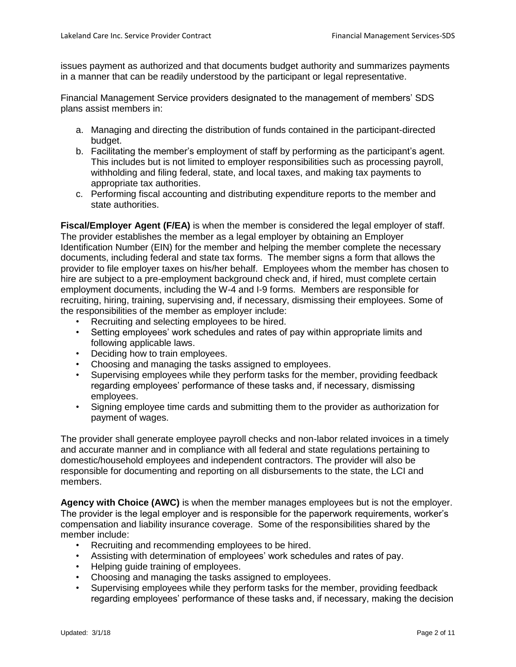issues payment as authorized and that documents budget authority and summarizes payments in a manner that can be readily understood by the participant or legal representative.

Financial Management Service providers designated to the management of members' SDS plans assist members in:

- a. Managing and directing the distribution of funds contained in the participant-directed budget.
- b. Facilitating the member's employment of staff by performing as the participant's agent. This includes but is not limited to employer responsibilities such as processing payroll, withholding and filing federal, state, and local taxes, and making tax payments to appropriate tax authorities.
- c. Performing fiscal accounting and distributing expenditure reports to the member and state authorities.

**Fiscal/Employer Agent (F/EA)** is when the member is considered the legal employer of staff. The provider establishes the member as a legal employer by obtaining an Employer Identification Number (EIN) for the member and helping the member complete the necessary documents, including federal and state tax forms. The member signs a form that allows the provider to file employer taxes on his/her behalf. Employees whom the member has chosen to hire are subject to a pre-employment background check and, if hired, must complete certain employment documents, including the W-4 and I-9 forms. Members are responsible for recruiting, hiring, training, supervising and, if necessary, dismissing their employees. Some of the responsibilities of the member as employer include:

- Recruiting and selecting employees to be hired.
- Setting employees' work schedules and rates of pay within appropriate limits and following applicable laws.
- Deciding how to train employees.
- Choosing and managing the tasks assigned to employees.
- Supervising employees while they perform tasks for the member, providing feedback regarding employees' performance of these tasks and, if necessary, dismissing employees.
- Signing employee time cards and submitting them to the provider as authorization for payment of wages.

The provider shall generate employee payroll checks and non-labor related invoices in a timely and accurate manner and in compliance with all federal and state regulations pertaining to domestic/household employees and independent contractors. The provider will also be responsible for documenting and reporting on all disbursements to the state, the LCI and members.

**Agency with Choice (AWC)** is when the member manages employees but is not the employer. The provider is the legal employer and is responsible for the paperwork requirements, worker's compensation and liability insurance coverage. Some of the responsibilities shared by the member include:

- Recruiting and recommending employees to be hired.
- Assisting with determination of employees' work schedules and rates of pay.
- Helping guide training of employees.
- Choosing and managing the tasks assigned to employees.
- Supervising employees while they perform tasks for the member, providing feedback regarding employees' performance of these tasks and, if necessary, making the decision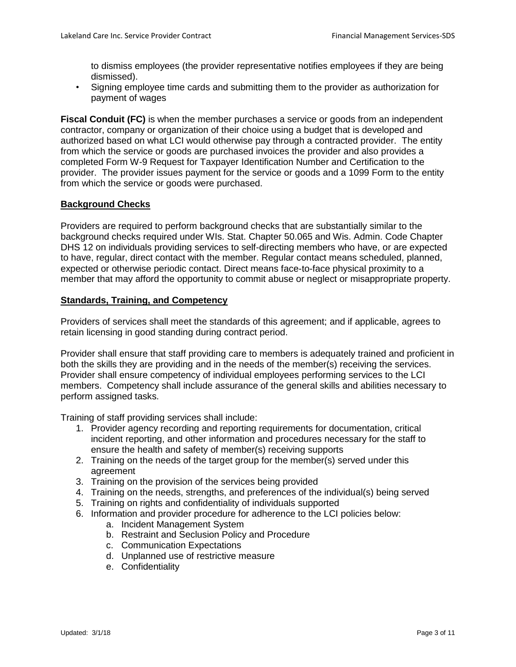to dismiss employees (the provider representative notifies employees if they are being dismissed).

• Signing employee time cards and submitting them to the provider as authorization for payment of wages

**Fiscal Conduit (FC)** is when the member purchases a service or goods from an independent contractor, company or organization of their choice using a budget that is developed and authorized based on what LCI would otherwise pay through a contracted provider. The entity from which the service or goods are purchased invoices the provider and also provides a completed Form W-9 Request for Taxpayer Identification Number and Certification to the provider. The provider issues payment for the service or goods and a 1099 Form to the entity from which the service or goods were purchased.

# **Background Checks**

Providers are required to perform background checks that are substantially similar to the background checks required under WIs. Stat. Chapter 50.065 and Wis. Admin. Code Chapter DHS 12 on individuals providing services to self-directing members who have, or are expected to have, regular, direct contact with the member. Regular contact means scheduled, planned, expected or otherwise periodic contact. Direct means face-to-face physical proximity to a member that may afford the opportunity to commit abuse or neglect or misappropriate property.

## **Standards, Training, and Competency**

Providers of services shall meet the standards of this agreement; and if applicable, agrees to retain licensing in good standing during contract period.

Provider shall ensure that staff providing care to members is adequately trained and proficient in both the skills they are providing and in the needs of the member(s) receiving the services. Provider shall ensure competency of individual employees performing services to the LCI members. Competency shall include assurance of the general skills and abilities necessary to perform assigned tasks.

Training of staff providing services shall include:

- 1. Provider agency recording and reporting requirements for documentation, critical incident reporting, and other information and procedures necessary for the staff to ensure the health and safety of member(s) receiving supports
- 2. Training on the needs of the target group for the member(s) served under this agreement
- 3. Training on the provision of the services being provided
- 4. Training on the needs, strengths, and preferences of the individual(s) being served
- 5. Training on rights and confidentiality of individuals supported
- 6. Information and provider procedure for adherence to the LCI policies below:
	- a. Incident Management System
	- b. Restraint and Seclusion Policy and Procedure
	- c. Communication Expectations
	- d. Unplanned use of restrictive measure
	- e. Confidentiality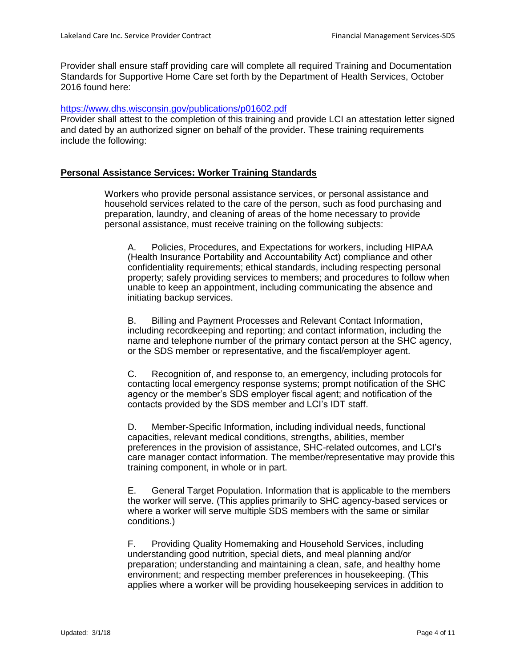Provider shall ensure staff providing care will complete all required Training and Documentation Standards for Supportive Home Care set forth by the Department of Health Services, October 2016 found here:

#### <https://www.dhs.wisconsin.gov/publications/p01602.pdf>

Provider shall attest to the completion of this training and provide LCI an attestation letter signed and dated by an authorized signer on behalf of the provider. These training requirements include the following:

## **Personal Assistance Services: Worker Training Standards**

Workers who provide personal assistance services, or personal assistance and household services related to the care of the person, such as food purchasing and preparation, laundry, and cleaning of areas of the home necessary to provide personal assistance, must receive training on the following subjects:

A. Policies, Procedures, and Expectations for workers, including HIPAA (Health Insurance Portability and Accountability Act) compliance and other confidentiality requirements; ethical standards, including respecting personal property; safely providing services to members; and procedures to follow when unable to keep an appointment, including communicating the absence and initiating backup services.

B. Billing and Payment Processes and Relevant Contact Information, including recordkeeping and reporting; and contact information, including the name and telephone number of the primary contact person at the SHC agency, or the SDS member or representative, and the fiscal/employer agent.

C. Recognition of, and response to, an emergency, including protocols for contacting local emergency response systems; prompt notification of the SHC agency or the member's SDS employer fiscal agent; and notification of the contacts provided by the SDS member and LCI's IDT staff.

D. Member-Specific Information, including individual needs, functional capacities, relevant medical conditions, strengths, abilities, member preferences in the provision of assistance, SHC-related outcomes, and LCI's care manager contact information. The member/representative may provide this training component, in whole or in part.

E. General Target Population. Information that is applicable to the members the worker will serve. (This applies primarily to SHC agency-based services or where a worker will serve multiple SDS members with the same or similar conditions.)

F. Providing Quality Homemaking and Household Services, including understanding good nutrition, special diets, and meal planning and/or preparation; understanding and maintaining a clean, safe, and healthy home environment; and respecting member preferences in housekeeping. (This applies where a worker will be providing housekeeping services in addition to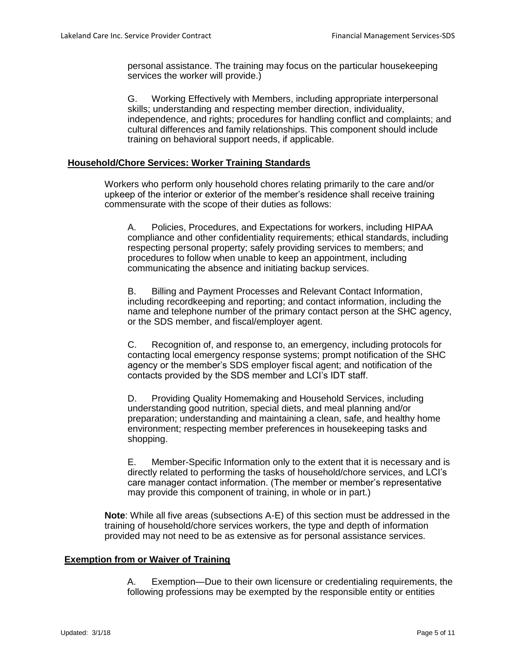personal assistance. The training may focus on the particular housekeeping services the worker will provide.)

G. Working Effectively with Members, including appropriate interpersonal skills; understanding and respecting member direction, individuality, independence, and rights; procedures for handling conflict and complaints; and cultural differences and family relationships. This component should include training on behavioral support needs, if applicable.

#### **Household/Chore Services: Worker Training Standards**

Workers who perform only household chores relating primarily to the care and/or upkeep of the interior or exterior of the member's residence shall receive training commensurate with the scope of their duties as follows:

A. Policies, Procedures, and Expectations for workers, including HIPAA compliance and other confidentiality requirements; ethical standards, including respecting personal property; safely providing services to members; and procedures to follow when unable to keep an appointment, including communicating the absence and initiating backup services.

B. Billing and Payment Processes and Relevant Contact Information, including recordkeeping and reporting; and contact information, including the name and telephone number of the primary contact person at the SHC agency, or the SDS member, and fiscal/employer agent.

C. Recognition of, and response to, an emergency, including protocols for contacting local emergency response systems; prompt notification of the SHC agency or the member's SDS employer fiscal agent; and notification of the contacts provided by the SDS member and LCI's IDT staff.

D. Providing Quality Homemaking and Household Services, including understanding good nutrition, special diets, and meal planning and/or preparation; understanding and maintaining a clean, safe, and healthy home environment; respecting member preferences in housekeeping tasks and shopping.

E. Member-Specific Information only to the extent that it is necessary and is directly related to performing the tasks of household/chore services, and LCI's care manager contact information. (The member or member's representative may provide this component of training, in whole or in part.)

**Note**: While all five areas (subsections A-E) of this section must be addressed in the training of household/chore services workers, the type and depth of information provided may not need to be as extensive as for personal assistance services.

#### **Exemption from or Waiver of Training**

A. Exemption—Due to their own licensure or credentialing requirements, the following professions may be exempted by the responsible entity or entities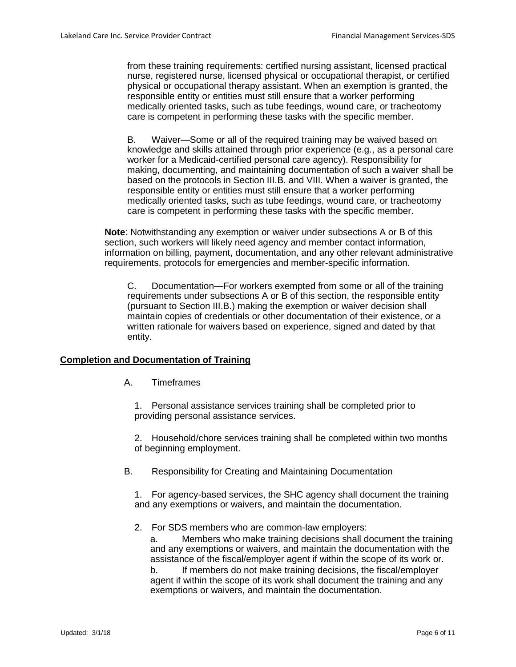from these training requirements: certified nursing assistant, licensed practical nurse, registered nurse, licensed physical or occupational therapist, or certified physical or occupational therapy assistant. When an exemption is granted, the responsible entity or entities must still ensure that a worker performing medically oriented tasks, such as tube feedings, wound care, or tracheotomy care is competent in performing these tasks with the specific member.

B. Waiver—Some or all of the required training may be waived based on knowledge and skills attained through prior experience (e.g., as a personal care worker for a Medicaid-certified personal care agency). Responsibility for making, documenting, and maintaining documentation of such a waiver shall be based on the protocols in Section III.B. and VIII. When a waiver is granted, the responsible entity or entities must still ensure that a worker performing medically oriented tasks, such as tube feedings, wound care, or tracheotomy care is competent in performing these tasks with the specific member.

**Note**: Notwithstanding any exemption or waiver under subsections A or B of this section, such workers will likely need agency and member contact information, information on billing, payment, documentation, and any other relevant administrative requirements, protocols for emergencies and member-specific information.

C. Documentation—For workers exempted from some or all of the training requirements under subsections A or B of this section, the responsible entity (pursuant to Section III.B.) making the exemption or waiver decision shall maintain copies of credentials or other documentation of their existence, or a written rationale for waivers based on experience, signed and dated by that entity.

## **Completion and Documentation of Training**

A. Timeframes

1. Personal assistance services training shall be completed prior to providing personal assistance services.

2. Household/chore services training shall be completed within two months of beginning employment.

B. Responsibility for Creating and Maintaining Documentation

1. For agency-based services, the SHC agency shall document the training and any exemptions or waivers, and maintain the documentation.

2. For SDS members who are common-law employers:

a. Members who make training decisions shall document the training and any exemptions or waivers, and maintain the documentation with the assistance of the fiscal/employer agent if within the scope of its work or. b. If members do not make training decisions, the fiscal/employer agent if within the scope of its work shall document the training and any exemptions or waivers, and maintain the documentation.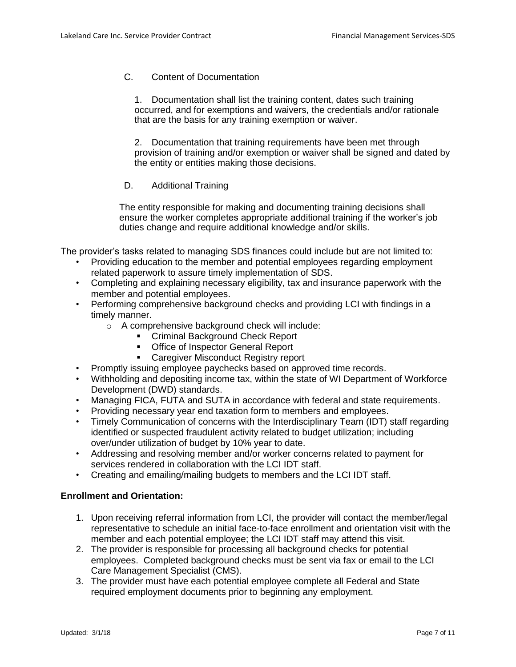# C. Content of Documentation

1. Documentation shall list the training content, dates such training occurred, and for exemptions and waivers, the credentials and/or rationale that are the basis for any training exemption or waiver.

2. Documentation that training requirements have been met through provision of training and/or exemption or waiver shall be signed and dated by the entity or entities making those decisions.

# D. Additional Training

The entity responsible for making and documenting training decisions shall ensure the worker completes appropriate additional training if the worker's job duties change and require additional knowledge and/or skills.

The provider's tasks related to managing SDS finances could include but are not limited to:

- Providing education to the member and potential employees regarding employment related paperwork to assure timely implementation of SDS.
- Completing and explaining necessary eligibility, tax and insurance paperwork with the member and potential employees.
- Performing comprehensive background checks and providing LCI with findings in a timely manner.
	- o A comprehensive background check will include:
		- **EXECT** Criminal Background Check Report
		- **Office of Inspector General Report**
		- **EXEC** Caregiver Misconduct Registry report
- Promptly issuing employee paychecks based on approved time records.
- Withholding and depositing income tax, within the state of WI Department of Workforce Development (DWD) standards.
- Managing FICA, FUTA and SUTA in accordance with federal and state requirements.
- Providing necessary year end taxation form to members and employees.
- Timely Communication of concerns with the Interdisciplinary Team (IDT) staff regarding identified or suspected fraudulent activity related to budget utilization; including over/under utilization of budget by 10% year to date.
- Addressing and resolving member and/or worker concerns related to payment for services rendered in collaboration with the LCI IDT staff.
- Creating and emailing/mailing budgets to members and the LCI IDT staff.

## **Enrollment and Orientation:**

- 1. Upon receiving referral information from LCI, the provider will contact the member/legal representative to schedule an initial face-to-face enrollment and orientation visit with the member and each potential employee; the LCI IDT staff may attend this visit.
- 2. The provider is responsible for processing all background checks for potential employees. Completed background checks must be sent via fax or email to the LCI Care Management Specialist (CMS).
- 3. The provider must have each potential employee complete all Federal and State required employment documents prior to beginning any employment.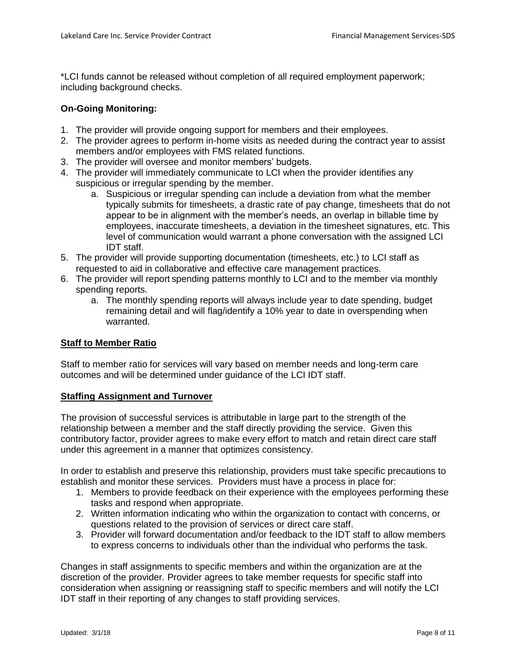\*LCI funds cannot be released without completion of all required employment paperwork; including background checks.

# **On-Going Monitoring:**

- 1. The provider will provide ongoing support for members and their employees.
- 2. The provider agrees to perform in-home visits as needed during the contract year to assist members and/or employees with FMS related functions.
- 3. The provider will oversee and monitor members' budgets.
- 4. The provider will immediately communicate to LCI when the provider identifies any suspicious or irregular spending by the member.
	- a. Suspicious or irregular spending can include a deviation from what the member typically submits for timesheets, a drastic rate of pay change, timesheets that do not appear to be in alignment with the member's needs, an overlap in billable time by employees, inaccurate timesheets, a deviation in the timesheet signatures, etc. This level of communication would warrant a phone conversation with the assigned LCI IDT staff.
- 5. The provider will provide supporting documentation (timesheets, etc.) to LCI staff as requested to aid in collaborative and effective care management practices.
- 6. The provider will report spending patterns monthly to LCI and to the member via monthly spending reports.
	- a. The monthly spending reports will always include year to date spending, budget remaining detail and will flag/identify a 10% year to date in overspending when warranted.

## **Staff to Member Ratio**

Staff to member ratio for services will vary based on member needs and long-term care outcomes and will be determined under guidance of the LCI IDT staff.

## **Staffing Assignment and Turnover**

The provision of successful services is attributable in large part to the strength of the relationship between a member and the staff directly providing the service. Given this contributory factor, provider agrees to make every effort to match and retain direct care staff under this agreement in a manner that optimizes consistency.

In order to establish and preserve this relationship, providers must take specific precautions to establish and monitor these services. Providers must have a process in place for:

- 1. Members to provide feedback on their experience with the employees performing these tasks and respond when appropriate.
- 2. Written information indicating who within the organization to contact with concerns, or questions related to the provision of services or direct care staff.
- 3. Provider will forward documentation and/or feedback to the IDT staff to allow members to express concerns to individuals other than the individual who performs the task.

Changes in staff assignments to specific members and within the organization are at the discretion of the provider. Provider agrees to take member requests for specific staff into consideration when assigning or reassigning staff to specific members and will notify the LCI IDT staff in their reporting of any changes to staff providing services.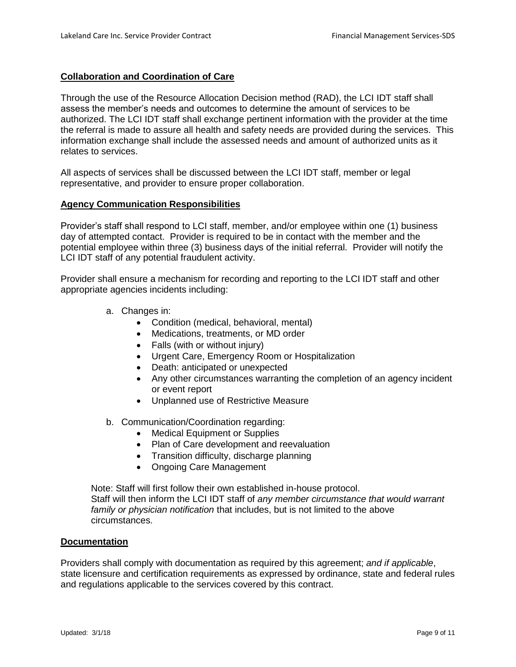# **Collaboration and Coordination of Care**

Through the use of the Resource Allocation Decision method (RAD), the LCI IDT staff shall assess the member's needs and outcomes to determine the amount of services to be authorized. The LCI IDT staff shall exchange pertinent information with the provider at the time the referral is made to assure all health and safety needs are provided during the services. This information exchange shall include the assessed needs and amount of authorized units as it relates to services.

All aspects of services shall be discussed between the LCI IDT staff, member or legal representative, and provider to ensure proper collaboration.

## **Agency Communication Responsibilities**

Provider's staff shall respond to LCI staff, member, and/or employee within one (1) business day of attempted contact. Provider is required to be in contact with the member and the potential employee within three (3) business days of the initial referral. Provider will notify the LCI IDT staff of any potential fraudulent activity.

Provider shall ensure a mechanism for recording and reporting to the LCI IDT staff and other appropriate agencies incidents including:

- a. Changes in:
	- Condition (medical, behavioral, mental)
	- Medications, treatments, or MD order
	- Falls (with or without injury)
	- Urgent Care, Emergency Room or Hospitalization
	- Death: anticipated or unexpected
	- Any other circumstances warranting the completion of an agency incident or event report
	- Unplanned use of Restrictive Measure
- b. Communication/Coordination regarding:
	- Medical Equipment or Supplies
	- Plan of Care development and reevaluation
	- Transition difficulty, discharge planning
	- Ongoing Care Management

Note: Staff will first follow their own established in-house protocol. Staff will then inform the LCI IDT staff of *any member circumstance that would warrant family or physician notification* that includes, but is not limited to the above circumstances.

## **Documentation**

Providers shall comply with documentation as required by this agreement; *and if applicable*, state licensure and certification requirements as expressed by ordinance, state and federal rules and regulations applicable to the services covered by this contract.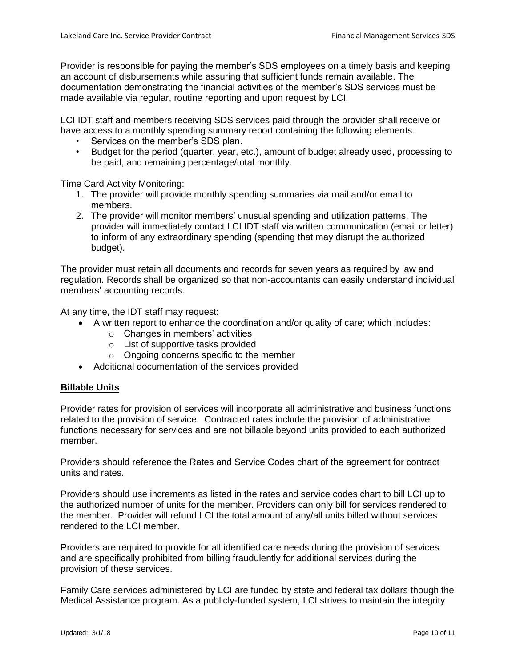Provider is responsible for paying the member's SDS employees on a timely basis and keeping an account of disbursements while assuring that sufficient funds remain available. The documentation demonstrating the financial activities of the member's SDS services must be made available via regular, routine reporting and upon request by LCI.

LCI IDT staff and members receiving SDS services paid through the provider shall receive or have access to a monthly spending summary report containing the following elements:

- Services on the member's SDS plan.
- Budget for the period (quarter, year, etc.), amount of budget already used, processing to be paid, and remaining percentage/total monthly.

Time Card Activity Monitoring:

- 1. The provider will provide monthly spending summaries via mail and/or email to members.
- 2. The provider will monitor members' unusual spending and utilization patterns. The provider will immediately contact LCI IDT staff via written communication (email or letter) to inform of any extraordinary spending (spending that may disrupt the authorized budget).

The provider must retain all documents and records for seven years as required by law and regulation. Records shall be organized so that non-accountants can easily understand individual members' accounting records.

At any time, the IDT staff may request:

- A written report to enhance the coordination and/or quality of care; which includes:
	- o Changes in members' activities
	- o List of supportive tasks provided
	- o Ongoing concerns specific to the member
- Additional documentation of the services provided

## **Billable Units**

Provider rates for provision of services will incorporate all administrative and business functions related to the provision of service. Contracted rates include the provision of administrative functions necessary for services and are not billable beyond units provided to each authorized member.

Providers should reference the Rates and Service Codes chart of the agreement for contract units and rates.

Providers should use increments as listed in the rates and service codes chart to bill LCI up to the authorized number of units for the member. Providers can only bill for services rendered to the member. Provider will refund LCI the total amount of any/all units billed without services rendered to the LCI member.

Providers are required to provide for all identified care needs during the provision of services and are specifically prohibited from billing fraudulently for additional services during the provision of these services.

Family Care services administered by LCI are funded by state and federal tax dollars though the Medical Assistance program. As a publicly-funded system, LCI strives to maintain the integrity